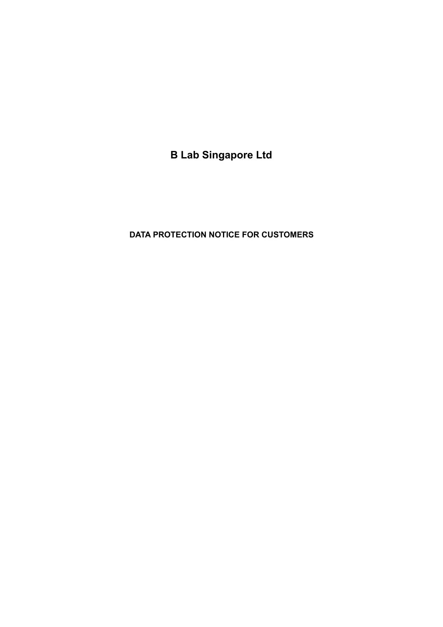**B Lab Singapore Ltd**

# **DATA PROTECTION NOTICE FOR CUSTOMERS**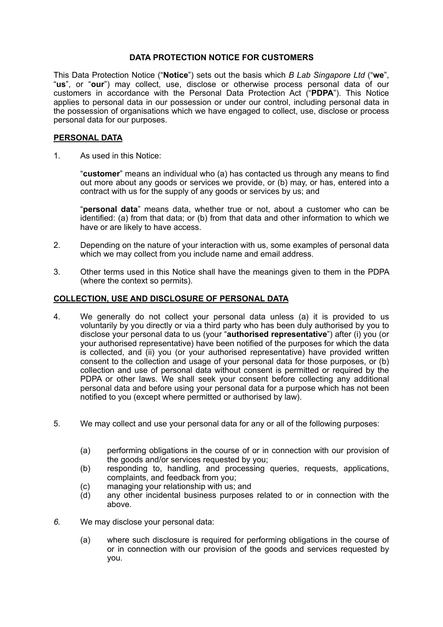### **DATA PROTECTION NOTICE FOR CUSTOMERS**

This Data Protection Notice ("**Notice**") sets out the basis which *B Lab Singapore Ltd* ("**we**", "**us**", or "**our**") may collect, use, disclose or otherwise process personal data of our customers in accordance with the Personal Data Protection Act ("**PDPA**"). This Notice applies to personal data in our possession or under our control, including personal data in the possession of organisations which we have engaged to collect, use, disclose or process personal data for our purposes.

#### **PERSONAL DATA**

1. As used in this Notice:

"**customer**" means an individual who (a) has contacted us through any means to find out more about any goods or services we provide, or (b) may, or has, entered into a contract with us for the supply of any goods or services by us; and

"**personal data**" means data, whether true or not, about a customer who can be identified: (a) from that data; or (b) from that data and other information to which we have or are likely to have access.

- 2. Depending on the nature of your interaction with us, some examples of personal data which we may collect from you include name and email address.
- 3. Other terms used in this Notice shall have the meanings given to them in the PDPA (where the context so permits).

### **COLLECTION, USE AND DISCLOSURE OF PERSONAL DATA**

- 4. We generally do not collect your personal data unless (a) it is provided to us voluntarily by you directly or via a third party who has been duly authorised by you to disclose your personal data to us (your "**authorised representative**") after (i) you (or your authorised representative) have been notified of the purposes for which the data is collected, and (ii) you (or your authorised representative) have provided written consent to the collection and usage of your personal data for those purposes, or (b) collection and use of personal data without consent is permitted or required by the PDPA or other laws. We shall seek your consent before collecting any additional personal data and before using your personal data for a purpose which has not been notified to you (except where permitted or authorised by law).
- 5. We may collect and use your personal data for any or all of the following purposes:
	- (a) performing obligations in the course of or in connection with our provision of the goods and/or services requested by you;
	- (b) responding to, handling, and processing queries, requests, applications, complaints, and feedback from you;
	- (c) managing your relationship with us; and
	- (d) any other incidental business purposes related to or in connection with the above.
- *6.* We may disclose your personal data:
	- (a) where such disclosure is required for performing obligations in the course of or in connection with our provision of the goods and services requested by you.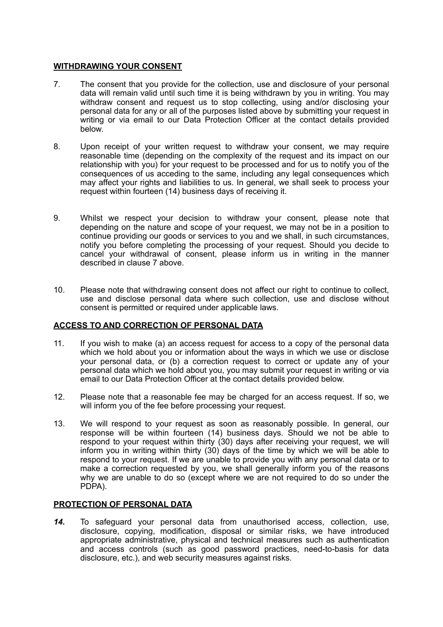#### **WITHDRAWING YOUR CONSENT**

- 7. The consent that you provide for the collection, use and disclosure of your personal data will remain valid until such time it is being withdrawn by you in writing. You may withdraw consent and request us to stop collecting, using and/or disclosing your personal data for any or all of the purposes listed above by submitting your request in writing or via email to our Data Protection Officer at the contact details provided below.
- 8. Upon receipt of your written request to withdraw your consent, we may require reasonable time (depending on the complexity of the request and its impact on our relationship with you) for your request to be processed and for us to notify you of the consequences of us acceding to the same, including any legal consequences which may affect your rights and liabilities to us. In general, we shall seek to process your request within fourteen (14) business days of receiving it.
- 9. Whilst we respect your decision to withdraw your consent, please note that depending on the nature and scope of your request, we may not be in a position to continue providing our goods or services to you and we shall, in such circumstances, notify you before completing the processing of your request. Should you decide to cancel your withdrawal of consent, please inform us in writing in the manner described in clause 7 above.
- 10. Please note that withdrawing consent does not affect our right to continue to collect, use and disclose personal data where such collection, use and disclose without consent is permitted or required under applicable laws.

## **ACCESS TO AND CORRECTION OF PERSONAL DATA**

- 11. If you wish to make (a) an access request for access to a copy of the personal data which we hold about you or information about the ways in which we use or disclose your personal data, or (b) a correction request to correct or update any of your personal data which we hold about you, you may submit your request in writing or via email to our Data Protection Officer at the contact details provided below.
- 12. Please note that a reasonable fee may be charged for an access request. If so, we will inform you of the fee before processing your request.
- 13. We will respond to your request as soon as reasonably possible. In general, our response will be within fourteen (14) business days. Should we not be able to respond to your request within thirty (30) days after receiving your request, we will inform you in writing within thirty (30) days of the time by which we will be able to respond to your request. If we are unable to provide you with any personal data or to make a correction requested by you, we shall generally inform you of the reasons why we are unable to do so (except where we are not required to do so under the PDPA).

#### **PROTECTION OF PERSONAL DATA**

*14.* To safeguard your personal data from unauthorised access, collection, use, disclosure, copying, modification, disposal or similar risks, we have introduced appropriate administrative, physical and technical measures such as authentication and access controls (such as good password practices, need-to-basis for data disclosure, etc.), and web security measures against risks.